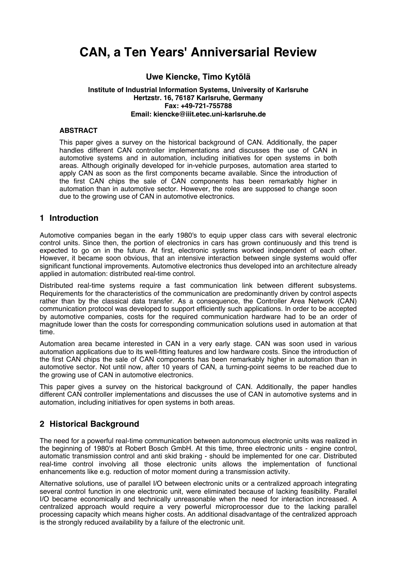# **CAN, a Ten Years' Anniversarial Review**

#### **Uwe Kiencke, Timo Kytölä Institute of Industrial Information Systems, University of Karlsruhe Hertzstr. 16, 76187 Karlsruhe, Germany Fax: +49-721-755788 Email: kiencke@iiit.etec.uni-karlsruhe.de**

#### **ABSTRACT**

This paper gives a survey on the historical background of CAN. Additionally, the paper handles different CAN controller implementations and discusses the use of CAN in automotive systems and in automation, including initiatives for open systems in both areas. Although originally developed for in-vehicle purposes, automation area started to apply CAN as soon as the first components became available. Since the introduction of the first CAN chips the sale of CAN components has been remarkably higher in automation than in automotive sector. However, the roles are supposed to change soon due to the growing use of CAN in automotive electronics.

#### **1 Introduction**

Automotive companies began in the early 1980's to equip upper class cars with several electronic control units. Since then, the portion of electronics in cars has grown continuously and this trend is expected to go on in the future. At first, electronic systems worked independent of each other. However, it became soon obvious, that an intensive interaction between single systems would offer significant functional improvements. Automotive electronics thus developed into an architecture already applied in automation: distributed real-time control.

Distributed real-time systems require a fast communication link between different subsystems. Requirements for the characteristics of the communication are predominantly driven by control aspects rather than by the classical data transfer. As a consequence, the Controller Area Network (CAN) communication protocol was developed to support efficiently such applications. In order to be accepted by automotive companies, costs for the required communication hardware had to be an order of magnitude lower than the costs for corresponding communication solutions used in automation at that time.

Automation area became interested in CAN in a very early stage. CAN was soon used in various automation applications due to its well-fitting features and low hardware costs. Since the introduction of the first CAN chips the sale of CAN components has been remarkably higher in automation than in automotive sector. Not until now, after 10 years of CAN, a turning-point seems to be reached due to the growing use of CAN in automotive electronics.

This paper gives a survey on the historical background of CAN. Additionally, the paper handles different CAN controller implementations and discusses the use of CAN in automotive systems and in automation, including initiatives for open systems in both areas.

## **2 Historical Background**

The need for a powerful real-time communication between autonomous electronic units was realized in the beginning of 1980's at Robert Bosch GmbH. At this time, three electronic units - engine control, automatic transmission control and anti skid braking - should be implemented for one car. Distributed real-time control involving all those electronic units allows the implementation of functional enhancements like e.g. reduction of motor moment during a transmission activity.

Alternative solutions, use of parallel I/O between electronic units or a centralized approach integrating several control function in one electronic unit, were eliminated because of lacking feasibility. Parallel I/O became economically and technically unreasonable when the need for interaction increased. A centralized approach would require a very powerful microprocessor due to the lacking parallel processing capacity which means higher costs. An additional disadvantage of the centralized approach is the strongly reduced availability by a failure of the electronic unit.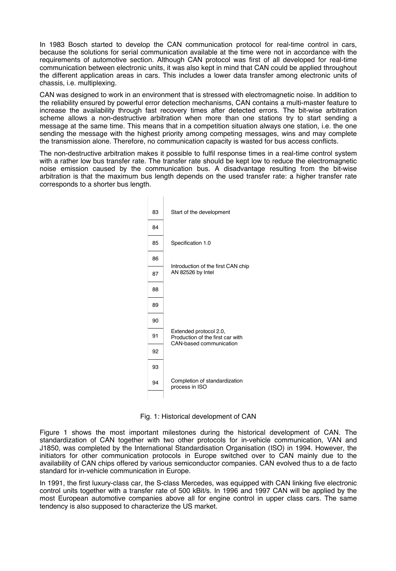In 1983 Bosch started to develop the CAN communication protocol for real-time control in cars, because the solutions for serial communication available at the time were not in accordance with the requirements of automotive section. Although CAN protocol was first of all developed for real-time communication between electronic units, it was also kept in mind that CAN could be applied throughout the different application areas in cars. This includes a lower data transfer among electronic units of chassis, i.e. multiplexing.

CAN was designed to work in an environment that is stressed with electromagnetic noise. In addition to the reliability ensured by powerful error detection mechanisms, CAN contains a multi-master feature to increase the availability through fast recovery times after detected errors. The bit-wise arbitration scheme allows a non-destructive arbitration when more than one stations try to start sending a message at the same time. This means that in a competition situation always one station, i.e. the one sending the message with the highest priority among competing messages, wins and may complete the transmission alone. Therefore, no communication capacity is wasted for bus access conflicts.

The non-destructive arbitration makes it possible to fulfil response times in a real-time control system with a rather low bus transfer rate. The transfer rate should be kept low to reduce the electromagnetic noise emission caused by the communication bus. A disadvantage resulting from the bit-wise arbitration is that the maximum bus length depends on the used transfer rate: a higher transfer rate corresponds to a shorter bus length.



Fig. 1: Historical development of CAN

Figure 1 shows the most important milestones during the historical development of CAN. The standardization of CAN together with two other protocols for in-vehicle communication, VAN and J1850, was completed by the International Standardisation Organisation (ISO) in 1994. However, the initiators for other communication protocols in Europe switched over to CAN mainly due to the availability of CAN chips offered by various semiconductor companies. CAN evolved thus to a de facto standard for in-vehicle communication in Europe.

In 1991, the first luxury-class car, the S-class Mercedes, was equipped with CAN linking five electronic control units together with a transfer rate of 500 kBit/s. In 1996 and 1997 CAN will be applied by the most European automotive companies above all for engine control in upper class cars. The same tendency is also supposed to characterize the US market.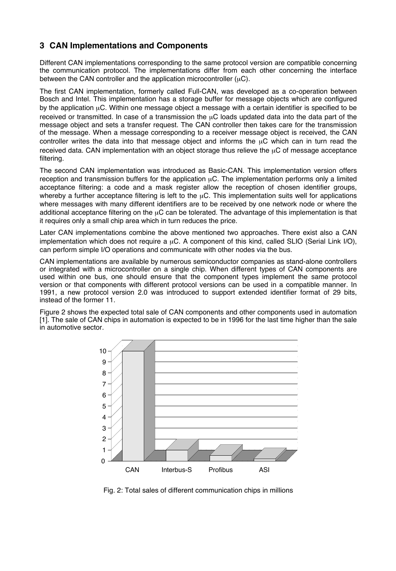# **3 CAN Implementations and Components**

Different CAN implementations corresponding to the same protocol version are compatible concerning the communication protocol. The implementations differ from each other concerning the interface between the CAN controller and the application microcontroller  $(uC)$ .

The first CAN implementation, formerly called Full-CAN, was developed as a co-operation between Bosch and Intel. This implementation has a storage buffer for message objects which are configured by the application µC. Within one message object a message with a certain identifier is specified to be received or transmitted. In case of a transmission the µC loads updated data into the data part of the message object and sets a transfer request. The CAN controller then takes care for the transmission of the message. When a message corresponding to a receiver message object is received, the CAN controller writes the data into that message object and informs the  $\mu$ C which can in turn read the received data. CAN implementation with an object storage thus relieve the uC of message acceptance filtering.

The second CAN implementation was introduced as Basic-CAN. This implementation version offers reception and transmission buffers for the application  $\mu$ C. The implementation performs only a limited acceptance filtering: a code and a mask register allow the reception of chosen identifier groups, whereby a further acceptance filtering is left to the  $\mu$ C. This implementation suits well for applications where messages with many different identifiers are to be received by one network node or where the additional acceptance filtering on the  $\mu$ C can be tolerated. The advantage of this implementation is that it requires only a small chip area which in turn reduces the price.

Later CAN implementations combine the above mentioned two approaches. There exist also a CAN implementation which does not require a  $\mu$ C. A component of this kind, called SLIO (Serial Link I/O), can perform simple I/O operations and communicate with other nodes via the bus.

CAN implementations are available by numerous semiconductor companies as stand-alone controllers or integrated with a microcontroller on a single chip. When different types of CAN components are used within one bus, one should ensure that the component types implement the same protocol version or that components with different protocol versions can be used in a compatible manner. In 1991, a new protocol version 2.0 was introduced to support extended identifier format of 29 bits, instead of the former 11.

Figure 2 shows the expected total sale of CAN components and other components used in automation [1]. The sale of CAN chips in automation is expected to be in 1996 for the last time higher than the sale in automotive sector.



Fig. 2: Total sales of different communication chips in millions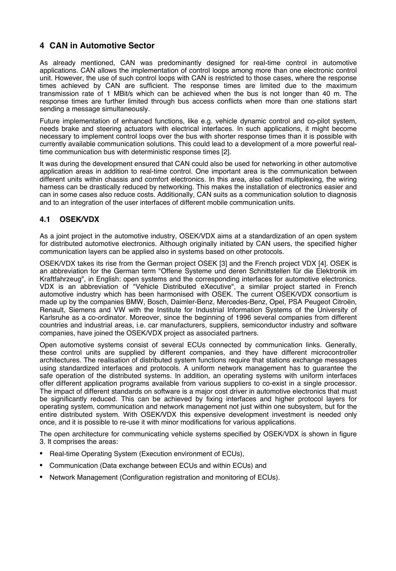# **4 CAN in Automotive Sector**

As already mentioned, CAN was predominantly designed for real-time control in automotive applications. CAN allows the implementation of control loops among more than one electronic control unit. However, the use of such control loops with CAN is restricted to those cases, where the response times achieved by CAN are sufficient. The response times are limited due to the maximum transmission rate of 1 MBit/s which can be achieved when the bus is not longer than 40 m. The response times are further limited through bus access conflicts when more than one stations start sending a message simultaneously.

Future implementation of enhanced functions, like e.g. vehicle dynamic control and co-pilot system, needs brake and steering actuators with electrical interfaces. In such applications, it might become necessary to implement control loops over the bus with shorter response times than it is possible with currently available communication solutions. This could lead to a development of a more powerful realtime communication bus with deterministic response times [2].

It was during the development ensured that CAN could also be used for networking in other automotive application areas in addition to real-time control. One important area is the communication between different units within chassis and comfort electronics. In this area, also called multiplexing, the wiring harness can be drastically reduced by networking. This makes the installation of electronics easier and can in some cases also reduce costs. Additionally, CAN suits as a communication solution to diagnosis and to an integration of the user interfaces of different mobile communication units.

## **4.1 OSEK/VDX**

As a joint project in the automotive industry, OSEK/VDX aims at a standardization of an open system for distributed automotive electronics. Although originally initiated by CAN users, the specified higher communication layers can be applied also in systems based on other protocols.

OSEK/VDX takes its rise from the German project OSEK [3] and the French project VDX [4]. OSEK is an abbreviation for the German term "Offene Systeme und deren Schnittstellen für die Elektronik im Kraftfahrzeug", in English: open systems and the corresponding interfaces for automotive electronics. VDX is an abbreviation of "Vehicle Distributed eXecutive", a similar project started in French automotive industry which has been harmonised with OSEK. The current OSEK/VDX consortium is made up by the companies BMW, Bosch, Daimler-Benz, Mercedes-Benz, Opel, PSA Peugeot Citroën, Renault, Siemens and VW with the Institute for Industrial Information Systems of the University of Karlsruhe as a co-ordinator. Moreover, since the beginning of 1996 several companies from different countries and industrial areas, i.e. car manufacturers, suppliers, semiconductor industry and software companies, have joined the OSEK/VDX project as associated partners.

Open automotive systems consist of several ECUs connected by communication links. Generally, these control units are supplied by different companies, and they have different microcontroller architectures. The realisation of distributed system functions require that stations exchange messages using standardized interfaces and protocols. A uniform network management has to guarantee the safe operation of the distributed systems. In addition, an operating systems with uniform interfaces offer different application programs available from various suppliers to co-exist in a single processor. The impact of different standards on software is a major cost driver in automotive electronics that must be significantly reduced. This can be achieved by fixing interfaces and higher protocol layers for operating system, communication and network management not just within one subsystem, but for the entire distributed system. With OSEK/VDX this expensive development investment is needed only once, and it is possible to re-use it with minor modifications for various applications.

The open architecture for communicating vehicle systems specified by OSEK/VDX is shown in figure 3. It comprises the areas:

- Real-time Operating System (Execution environment of ECUs),
- Communication (Data exchange between ECUs and within ECUs) and
- Network Management (Configuration registration and monitoring of ECUs).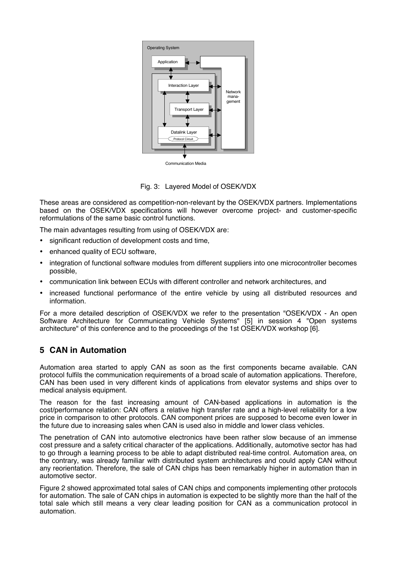

Fig. 3: Layered Model of OSEK/VDX

These areas are considered as competition-non-relevant by the OSEK/VDX partners. Implementations based on the OSEK/VDX specifications will however overcome project- and customer-specific reformulations of the same basic control functions.

The main advantages resulting from using of OSEK/VDX are:

- significant reduction of development costs and time,
- enhanced quality of ECU software,
- integration of functional software modules from different suppliers into one microcontroller becomes possible,
- communication link between ECUs with different controller and network architectures, and
- increased functional performance of the entire vehicle by using all distributed resources and information.

For a more detailed description of OSEK/VDX we refer to the presentation "OSEK/VDX - An open Software Architecture for Communicating Vehicle Systems" [5] in session 4 "Open systems architecture" of this conference and to the proceedings of the 1st OSEK/VDX workshop [6].

## **5 CAN in Automation**

Automation area started to apply CAN as soon as the first components became available. CAN protocol fulfils the communication requirements of a broad scale of automation applications. Therefore, CAN has been used in very different kinds of applications from elevator systems and ships over to medical analysis equipment.

The reason for the fast increasing amount of CAN-based applications in automation is the cost/performance relation: CAN offers a relative high transfer rate and a high-level reliability for a low price in comparison to other protocols. CAN component prices are supposed to become even lower in the future due to increasing sales when CAN is used also in middle and lower class vehicles.

The penetration of CAN into automotive electronics have been rather slow because of an immense cost pressure and a safety critical character of the applications. Additionally, automotive sector has had to go through a learning process to be able to adapt distributed real-time control. Automation area, on the contrary, was already familiar with distributed system architectures and could apply CAN without any reorientation. Therefore, the sale of CAN chips has been remarkably higher in automation than in automotive sector.

Figure 2 showed approximated total sales of CAN chips and components implementing other protocols for automation. The sale of CAN chips in automation is expected to be slightly more than the half of the total sale which still means a very clear leading position for CAN as a communication protocol in automation.